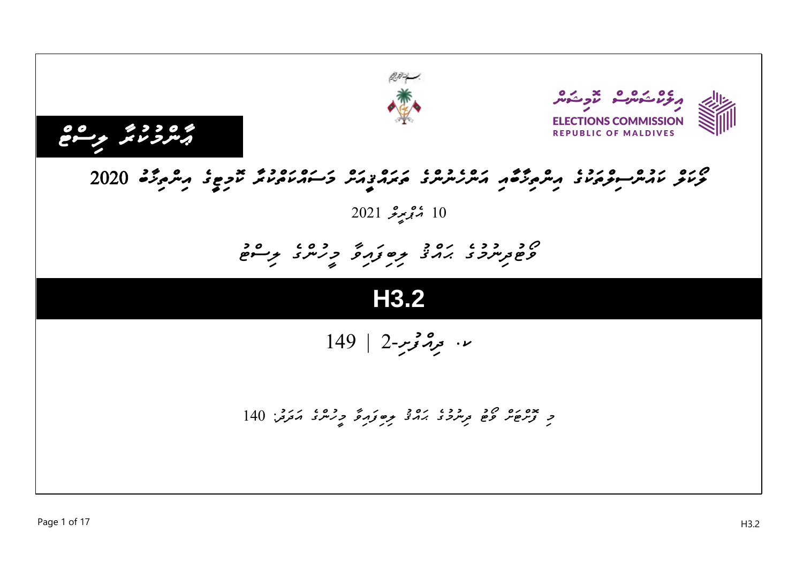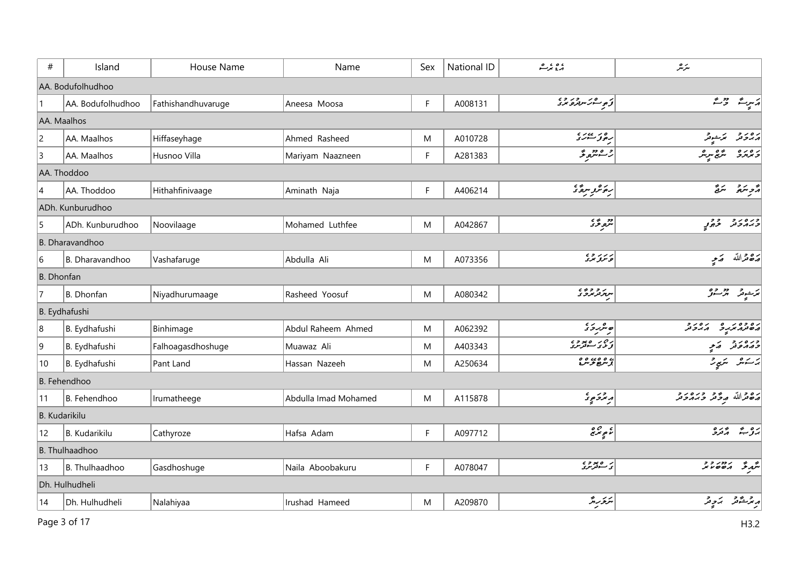| #                    | Island            | House Name         | Name                 | Sex | National ID | ، ه ، ره<br>مر، مر                                  | يترمثر                        |
|----------------------|-------------------|--------------------|----------------------|-----|-------------|-----------------------------------------------------|-------------------------------|
|                      | AA. Bodufolhudhoo |                    |                      |     |             |                                                     |                               |
|                      | AA. Bodufolhudhoo | Fathishandhuvaruge | Aneesa Moosa         | F   | A008131     | تی ه په شور کرد و م<br>  تی ه په شور کرد کلیموندی   | پرسرے واقت                    |
|                      | AA. Maalhos       |                    |                      |     |             |                                                     |                               |
| $\overline{2}$       | AA. Maalhos       | Hiffaseyhage       | Ahmed Rasheed        | M   | A010728     | رە ئەسەر ،                                          | ره رو برشونر<br>دبرونر برشونر |
| 3                    | AA. Maalhos       | Husnoo Villa       | Mariyam Naazneen     | F   | A281383     | <sub>رحم</sub> پېړۍ تر                              | سرچ سربر<br>ويوبره            |
|                      | AA. Thoddoo       |                    |                      |     |             |                                                     |                               |
| 4                    | AA. Thoddoo       | Hithahfinivaage    | Aminath Naja         | F   | A406214     | رە ئۇر بىرۇ ئ                                       | ړٌ پر پر پر                   |
|                      | ADh. Kunburudhoo  |                    |                      |     |             |                                                     |                               |
| 5                    | ADh. Kunburudhoo  | Noovilaage         | Mohamed Luthfee      | M   | A042867     | دد په په<br>سر <sub>جو</sub> مرد                    | ورەر د د                      |
|                      | B. Dharavandhoo   |                    |                      |     |             |                                                     |                               |
| 6                    | B. Dharavandhoo   | Vashafaruge        | Abdulla Ali          | M   | A073356     | ر ر ر و ،<br>ح ترتو تر <sub>پ</sub>                 | برە دالله كەمچ                |
| B. Dhonfan           |                   |                    |                      |     |             |                                                     |                               |
| $\overline{7}$       | B. Dhonfan        | Niyadhurumaage     | Rasheed Yoosuf       | M   | A080342     | سر د و و و ،<br>سرگرمرگر د                          | برسوتر وحرحوم                 |
|                      | B. Eydhafushi     |                    |                      |     |             |                                                     |                               |
| 8                    | B. Eydhafushi     | Binhimage          | Abdul Raheem Ahmed   | M   | A062392     | ھ مربر دی<br>پر                                     |                               |
| 9                    | B. Eydhafushi     | Falhoagasdhoshuge  | Muawaz Ali           | M   | A403343     | ر <i>0 ر</i> _ 0 پر و <sup>ي</sup><br>تونزی سنتونزی | دره د د کړ                    |
| $ 10\rangle$         | B. Eydhafushi     | Pant Land          | Hassan Nazeeh        | M   | A250634     | ره و وره و ه<br>بر سرچ مرسو                         | ىرىكىش ئىرى 3                 |
|                      | B. Fehendhoo      |                    |                      |     |             |                                                     |                               |
| 11                   | B. Fehendhoo      | Irumatheege        | Abdulla Imad Mohamed | M   | A115878     | <br>  دېمرخه موځه                                   | ره والله مردَّ مرد و ره د و   |
| <b>B.</b> Kudarikilu |                   |                    |                      |     |             |                                                     |                               |
| 12                   | B. Kudarikilu     | Cathyroze          | Hafsa Adam           | F   | A097712     | اء موسرج<br>ما موسرج                                | ره به په پره                  |
|                      | B. Thulhaadhoo    |                    |                      |     |             |                                                     |                               |
| 13                   | B. Thulhaadhoo    | Gasdhoshuge        | Naila Aboobakuru     | F   | A078047     | ر ۔ 2 پر و ۽<br>ي سسور مري                          | 7,7000                        |
|                      | Dh. Hulhudheli    |                    |                      |     |             |                                                     |                               |
| 14                   | Dh. Hulhudheli    | Nalahiyaa          | Irushad Hameed       | M   | A209870     | ىر <i>ئۆر</i> ب <sup>ە</sup> ر                      | مرمز مشتر من سرح مر           |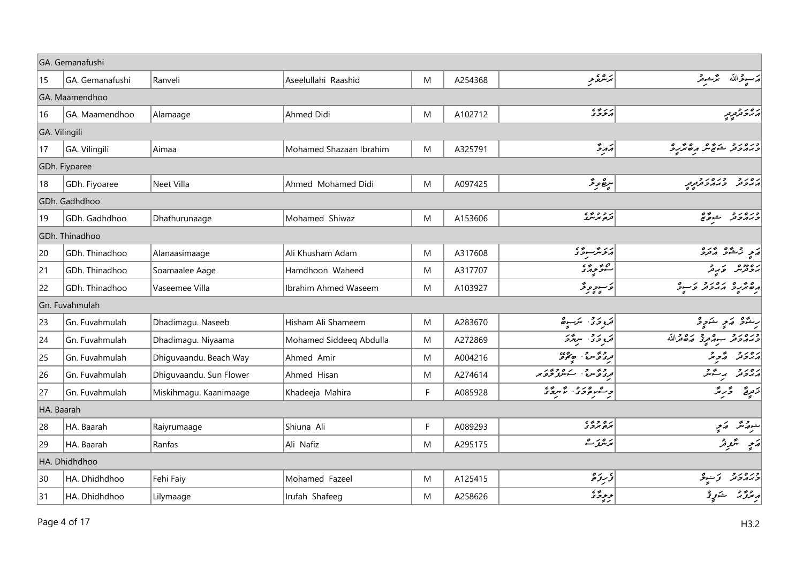|            | GA. Gemanafushi |                         |                         |           |         |                           |                                              |
|------------|-----------------|-------------------------|-------------------------|-----------|---------|---------------------------|----------------------------------------------|
| 15         | GA. Gemanafushi | Ranveli                 | Aseelullahi Raashid     | M         | A254368 | ر ۵ ء<br>مرس پو           | أمَرْ الله مُرْجَعَة                         |
|            | GA. Maamendhoo  |                         |                         |           |         |                           |                                              |
| 16         | GA. Maamendhoo  | Alamaage                | <b>Ahmed Didi</b>       | M         | A102712 | برژی                      | پره بر ويديد                                 |
|            | GA. Vilingili   |                         |                         |           |         |                           |                                              |
| 17         | GA. Vilingili   | Aimaa                   | Mohamed Shazaan Ibrahim | M         | A325791 | لرزمر                     | ورەر دېرىدە مەھرى                            |
|            | GDh. Fiyoaree   |                         |                         |           |         |                           |                                              |
| 18         | GDh. Fiyoaree   | Neet Villa              | Ahmed Mohamed Didi      | M         | A097425 | سرچورځه                   |                                              |
|            | GDh. Gadhdhoo   |                         |                         |           |         |                           |                                              |
| 19         | GDh. Gadhdhoo   | Dhathurunaage           | Mohamed Shiwaz          | M         | A153606 |                           | وره رو شوده<br>د بروتر شوده                  |
|            | GDh. Thinadhoo  |                         |                         |           |         |                           |                                              |
| 20         | GDh. Thinadhoo  | Alanaasimaage           | Ali Khusham Adam        | M         | A317608 | ئەنزىئېزىسىدى ك           | أرو لا يدو أوره                              |
| 21         | GDh. Thinadhoo  | Soamaalee Aage          | Hamdhoon Waheed         | M         | A317707 | ە ئەۋەپەيى<br>سىرتە ئەر   | رەددە بەر                                    |
| 22         | GDh. Thinadhoo  | Vaseemee Villa          | Ibrahim Ahmed Waseem    | M         | A103927 | ءَ سوچ عرقته              |                                              |
|            | Gn. Fuvahmulah  |                         |                         |           |         |                           |                                              |
| 23         | Gn. Fuvahmulah  | Dhadimagu. Naseeb       | Hisham Ali Shameem      | ${\sf M}$ | A283670 | قديدة حميد الترسية ه      | پاڪري ڏي ڪرچ                                 |
| 24         | Gn. Fuvahmulah  | Dhadimagu. Niyaama      | Mohamed Siddeeq Abdulla | M         | A272869 | قروتري- سرگرځ             | ورورو سومور وكالله                           |
| 25         | Gn. Fuvahmulah  | Dhiguvaandu. Beach Way  | Ahmed Amir              | M         | A004216 | و د هم د ده ده ده ده د    | أربرونه المرونم                              |
| 26         | Gn. Fuvahmulah  | Dhiguvaandu. Sun Flower | Ahmed Hisan             | M         | A274614 | ىرى ئۇسى ، سەئىرى ئۇي بىر | رەرو بەشر                                    |
| 27         | Gn. Fuvahmulah  | Miskihmagu. Kaanimaage  | Khadeeja Mahira         | F         | A085928 | ور مرود و مروی            | زَمِيعٌ = وَرِبُرٌ                           |
| HA. Baarah |                 |                         |                         |           |         |                           |                                              |
| 28         | HA. Baarah      | Raiyrumaage             | Shiuna Ali              | F         | A089293 | ر ه و د »<br>بره برو د    | شور مگر کرکر کر                              |
| 29         | HA. Baarah      | Ranfas                  | Ali Nafiz               | M         | A295175 | بر هوئر شه                | أرسمت سترورش                                 |
|            | HA. Dhidhdhoo   |                         |                         |           |         |                           |                                              |
| 30         | HA. Dhidhdhoo   | Fehi Faiy               | Mohamed Fazeel          | M         | A125415 | ڈىروڭر                    | ەررەرە كەنبەق<br>مەمدى كەنبەق<br>رىمبرى خۇرى |
| 31         | HA. Dhidhdhoo   | Lilymaage               | Irufah Shafeeg          | M         | A258626 | ووژگی<br>رئ               |                                              |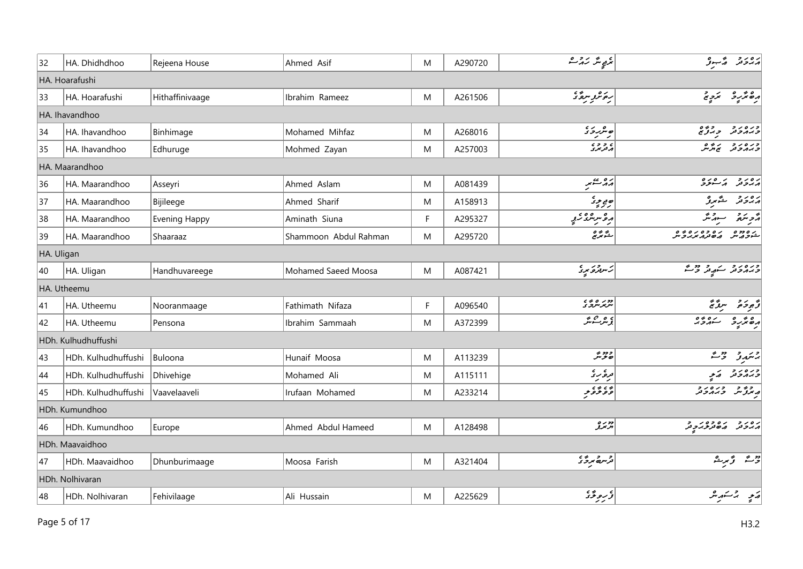| 32         | HA. Dhidhdhoo       | Rejeena House        | Ahmed Asif                 | M  | A290720 | ع مو پېڅه که تر <sup>9</sup> | رەرو ئەبدۇ                              |
|------------|---------------------|----------------------|----------------------------|----|---------|------------------------------|-----------------------------------------|
|            | HA. Hoarafushi      |                      |                            |    |         |                              |                                         |
| 33         | HA. Hoarafushi      | Hithaffinivaage      | Ibrahim Rameez             | M  | A261506 | رۇشۇر بىرۇ ئى                | رەنزىر تردى                             |
|            | HA. Ihavandhoo      |                      |                            |    |         |                              |                                         |
| 34         | HA. Ihavandhoo      | Binhimage            | Mohamed Mihfaz             | M  | A268016 | ھ مر ر دی<br>ر               | ورەر در دور                             |
| 35         | HA. Ihavandhoo      | Edhuruge             | Mohmed Zayan               | M  | A257003 | ے و و ۽<br>مرمري             | ورەر در رو                              |
|            | HA. Maarandhoo      |                      |                            |    |         |                              |                                         |
| 36         | HA. Maarandhoo      | Asseyri              | Ahmed Aslam                | M  | A081439 | بره مي<br>مره سنوسر          | رەرد رەرە                               |
| 37         | HA. Maarandhoo      | Bijileege            | Ahmed Sharif               | M  | A158913 | <br> حديد عر                 | رەرو شىرو                               |
| 38         | HA. Maarandhoo      | <b>Evening Happy</b> | Aminath Siuna              | F  | A295327 | ر ۋېرىترى <i>كې</i> ر        | أروسرة سترسر                            |
| 39         | HA. Maarandhoo      | Shaaraaz             | Shammoon Abdul Rahman      | M  | A295720 | ر دي.<br>سنگوري              | بر ۵ دو ۵<br>شو <del>ر</del> هر س       |
| HA. Uligan |                     |                      |                            |    |         |                              |                                         |
| 40         | HA. Uligan          | Handhuvareege        | <b>Mohamed Saeed Moosa</b> | M  | A087421 | ر سرچر سر پر                 | ورەر و بەر تەرىخ                        |
|            | HA. Utheemu         |                      |                            |    |         |                              |                                         |
| 41         | HA. Utheemu         | Nooranmaage          | Fathimath Nifaza           | F. | A096540 | دور ه و »<br>سرپرسرچر        | قَهْ وَحَقَّ سِنَدَّجَ                  |
| 42         | HA. Utheemu         | Pensona              | Ibrahim Sammaah            | M  | A372399 | ې مرگ پر<br>بر سرچين         | $222 - 322$                             |
|            | HDh. Kulhudhuffushi |                      |                            |    |         |                              |                                         |
| 43         | HDh. Kulhudhuffushi | Buloona              | Hunaif Moosa               | M  | A113239 | ە دەپر<br>ھىرىتر             | بر تمرز حرمته                           |
| 44         | HDh. Kulhudhuffushi | Dhivehige            | Mohamed Ali                | M  | A115111 | ورځ رئ<br>گر                 |                                         |
| 45         | HDh. Kulhudhuffushi | Vaavelaaveli         | Irufaan Mohamed            | M  | A233214 | ر دي.<br>اعروگرمو            | ביב בנסגב<br>גיבעי בגהבת                |
|            | HDh. Kumundhoo      |                      |                            |    |         |                              |                                         |
| 46         | HDh. Kumundhoo      | Europe               | Ahmed Abdul Hameed         | M  | A128498 | دور ہ<br>در بربی             | גפגל גם כסגבל<br>גגבע גם <i>נגבג</i> בב |
|            | HDh. Maavaidhoo     |                      |                            |    |         |                              |                                         |
| 47         | HDh. Maavaidhoo     | Dhunburimaage        | Moosa Farish               | M  | A321404 | و سرچ سرچ <sub>ک</sub>       | أرحمت كرسميث                            |
|            | HDh. Nolhivaran     |                      |                            |    |         |                              |                                         |
| 48         | HDh. Nolhivaran     | Fehivilaage          | Ali Hussain                | M  | A225629 | ا د سره مرد<br>ار            | أريح الرحم يرتكز                        |
|            |                     |                      |                            |    |         |                              |                                         |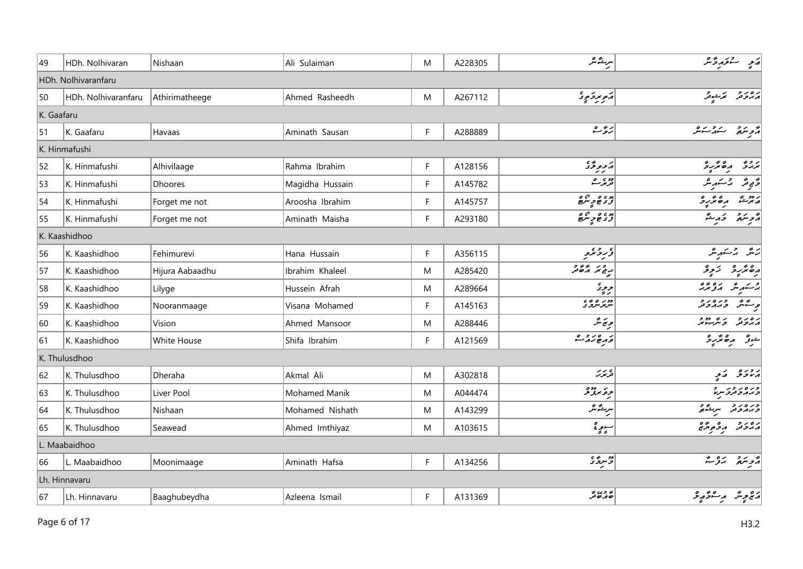| 49         | HDh. Nolhivaran     | Nishaan            | Ali Sulaiman         | M         | A228305 | سرىشەشر                         | ە ئەنگەر ئە                                          |
|------------|---------------------|--------------------|----------------------|-----------|---------|---------------------------------|------------------------------------------------------|
|            | HDh. Nolhivaranfaru |                    |                      |           |         |                                 |                                                      |
| 50         | HDh. Nolhivaranfaru | Athirimatheege     | Ahmed Rasheedh       | ${\sf M}$ | A267112 | اړ <sub>مومرځ موند</sub>        | پره رو پر سور                                        |
| K. Gaafaru |                     |                    |                      |           |         |                                 |                                                      |
| 51         | K. Gaafaru          | Havaas             | Aminath Sausan       | F.        | A288889 | ترةرمشر                         | سەر سەمىر<br>ر<br>د حر سره                           |
|            | K. Hinmafushi       |                    |                      |           |         |                                 |                                                      |
| 52         | K. Hinmafushi       | Alhivilaage        | Rahma Ibrahim        | F         | A128156 | پرورونژه                        | ىر 3 ج<br>موبر <del>3</del><br>ەرھەترىر <sup>ى</sup> |
| 53         | K. Hinmafushi       | <b>Dhoores</b>     | Magidha Hussain      | F         | A145782 | ود ۽ ه                          | ۇي ئەسكىرىگ                                          |
| 54         | K. Hinmafushi       | Forget me not      | Aroosha Ibrahim      | F         | A145757 | پر ، ه و چه                     | بر دو به مح                                          |
| 55         | K. Hinmafushi       | Forget me not      | Aminath Maisha       | F.        | A293180 | پوءِ ۾ ڇپي                      | أزويتم وكربية                                        |
|            | K. Kaashidhoo       |                    |                      |           |         |                                 |                                                      |
| 56         | K. Kaashidhoo       | Fehimurevi         | Hana Hussain         | F.        | A356115 | ۇرۇپمۇ                          | رُنگ برِ سکھ بگر                                     |
| 57         | K. Kaashidhoo       | Hijura Aabaadhu    | Ibrahim Khaleel      | M         | A285420 | <br>  پر محمد اړه تر            | تزوٍوٌ                                               |
| 58         | K. Kaashidhoo       | Lilyge             | Hussein Afrah        | M         | A289664 | مومور<br>مرچ                    | د کرد شهر دولاره<br>بر کرد بروندند                   |
| 59         | K. Kaashidhoo       | Nooranmaage        | Visana Mohamed       | F         | A145163 | دد ر ه و ،<br>سرپرسرچ ی         | ەرشىش دىرەرد<br>ھەسەئىس <i>دىد</i> ەردىر             |
| 60         | K. Kaashidhoo       | Vision             | Ahmed Mansoor        | M         | A288446 | حريح مثر                        | ر ە ر د<br>م.رو تر<br>پر ۵ پرور                      |
| 61         | K. Kaashidhoo       | <b>White House</b> | Shifa Ibrahim        | F         | A121569 | ورورده                          | دەندېرد<br>اڪوڙ<br>-                                 |
|            | K. Thulusdhoo       |                    |                      |           |         |                                 |                                                      |
| 62         | K. Thulusdhoo       | Dheraha            | Akmal Ali            | M         | A302818 | ی ر ر<br>توبوتر                 | ړ د دي که پر                                         |
| 63         | K. Thulusdhoo       | Liver Pool         | <b>Mohamed Manik</b> | M         | A044474 | مرکز پر                         | و ر ٥ ر و ر<br>و بر <sub>ا</sub> ر و ترو سربا        |
| 64         | K. Thulusdhoo       | Nishaan            | Mohamed Nishath      | M         | A143299 | اسریٹریٹر<br>پ                  | و ر ه ر و<br>و پر پر <del>و</del> تر<br>سريشگړ 7     |
| 65         | K. Thulusdhoo       | Seawead            | Ahmed Imthiyaz       | M         | A103615 | سومٍ ؟<br>پوځ                   | وده وژنج<br>ر ه بر <del>د</del>                      |
|            | L. Maabaidhoo       |                    |                      |           |         |                                 |                                                      |
| 66         | L. Maabaidhoo       | Moonimaage         | Aminath Hafsa        | F         | A134256 | ود سرچ ی<br>حر سرچ <sub>ک</sub> | ۇ جەنبۇ ئەرب                                         |
|            | Lh. Hinnavaru       |                    |                      |           |         |                                 |                                                      |
| 67         | Lh. Hinnavaru       | Baaghubeydha       | Azleena Ismail       | F         | A131369 | ه ور، د.<br>خ د حا تر           | ړ جمړينګر پر شوګړيو ل                                |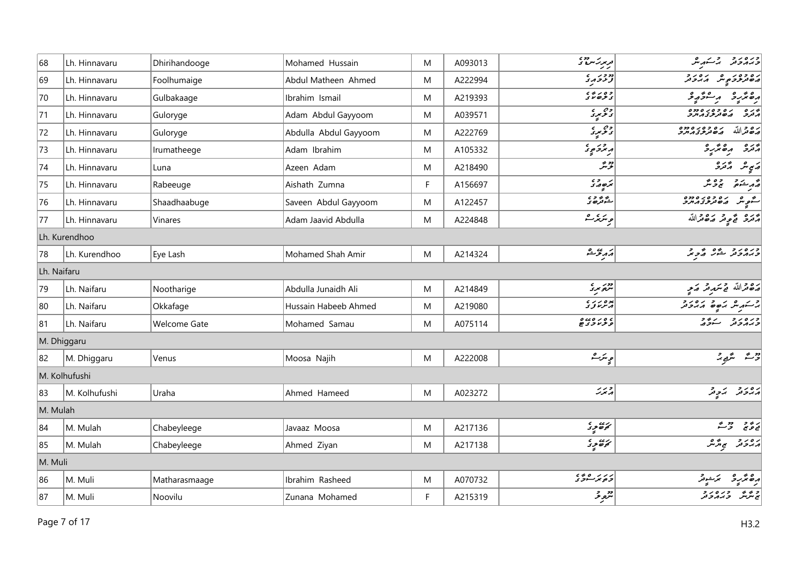| 68          | Lh. Hinnavaru | Dhirihandooge       | Mohamed Hussain       | M         | A093013 | در بررسویتی<br>  <u>در</u>                        | ورەرو جەمئىر                                     |
|-------------|---------------|---------------------|-----------------------|-----------|---------|---------------------------------------------------|--------------------------------------------------|
| 69          | Lh. Hinnavaru | Foolhumaige         | Abdul Matheen Ahmed   | Μ         | A222994 | دو د ر ،                                          | ره وه رحمه ده رو<br>مصر دوم شهر در در د          |
| 70          | Lh. Hinnavaru | Gulbakaage          | Ibrahim Ismail        | M         | A219393 | وه رو ء<br>د <del>ن</del> رھ تر <sub>ک</sub>      | رە ئرىر ئىستى ئو                                 |
| 71          | Lh. Hinnavaru | Guloryge            | Adam Abdul Gayyoom    | Μ         | A039571 | وه پرې<br>د مخم پرې                               | ه ره ده وه ره دوه<br>مهرچ مگاه تورختی مراجر      |
| 72          | Lh. Hinnavaru | Guloryge            | Abdulla Abdul Gayyoom | Μ         | A222769 | وم<br>د څرمړن                                     | ره و الله به صوره دوه<br>مردور الله به صور د مرد |
| 73          | Lh. Hinnavaru | Irumatheege         | Adam Ibrahim          | M         | A105332 | <br>  دېمرخه موځه                                 | أرمزه مره مزرد                                   |
| 74          | Lh. Hinnavaru | Luna                | Azeen Adam            | Μ         | A218490 | دد م                                              | ړې شه د مرده                                     |
| 75          | Lh. Hinnavaru | Rabeeuge            | Aishath Zumna         | F         | A156697 | برەم                                              |                                                  |
| 76          | Lh. Hinnavaru | Shaadhaabuge        | Saveen Abdul Gayyoom  | M         | A122457 | ر د د د د<br>ستوتر <i>ه د</i>                     | محمومته مصر محمده دوه<br>مسجومته مصر محمد محمد   |
| 77          | Lh. Hinnavaru | Vinares             | Adam Jaavid Abdulla   | Μ         | A224848 | ە ئىرىئرىشە                                       | وَرَوْ يُوَمِّرْ رَهُ مِرَاللَّهُ                |
|             | Lh. Kurendhoo |                     |                       |           |         |                                                   |                                                  |
| 78          | Lh. Kurendhoo | Eye Lash            | Mohamed Shah Amir     | M         | A214324 | ىزىر ئۇش                                          | ورەرو بەرە بور                                   |
| Lh. Naifaru |               |                     |                       |           |         |                                                   |                                                  |
| 79          | Lh. Naifaru   | Nootharige          | Abdulla Junaidh Ali   | Μ         | A214849 | دد بر بر<br>سرچ سر پر                             | وَحْقَدَاللّهِ فَيَسَمِهِ فَرَ وَجِهِ            |
| 80          | Lh. Naifaru   | Okkafage            | Hussain Habeeb Ahmed  | M         | A219080 | پره ر ر ،<br>پر تر ر د ک                          | ج سکه شرح شهر محمد حاصر د                        |
| 81          | Lh. Naifaru   | <b>Welcome Gate</b> | Mohamed Samau         | M         | A075114 | ړ و ر وړ ه<br>و <del>و</del> ر و <sub>ک</sub> انع | ورەرو دەر                                        |
|             | M. Dhiggaru   |                     |                       |           |         |                                                   |                                                  |
| 82          | M. Dhiggaru   | Venus               | Moosa Najih           | Μ         | A222008 | مەيئرىشە                                          | <mark>رہ مجم</mark> مگرم ج                       |
|             | M. Kolhufushi |                     |                       |           |         |                                                   |                                                  |
| 83          | M. Kolhufushi | Uraha               | Ahmed Hameed          | ${\sf M}$ | A023272 | برسر                                              | גף גב גבב                                        |
| M. Mulah    |               |                     |                       |           |         |                                                   |                                                  |
| 84          | M. Mulah      | Chabeyleege         | Javaaz Moosa          | M         | A217136 | ري په د<br>کوه پور                                | ر د د در                                         |
| 85          | M. Mulah      | Chabeyleege         | Ahmed Ziyan           | M         | A217138 | ري <sub>چ</sub>                                   | پرورو پرچم                                       |
| M. Muli     |               |                     |                       |           |         |                                                   |                                                  |
| 86          | M. Muli       | Matharasmaage       | Ibrahim Rasheed       | M         | A070732 | ر ر ر ه و د                                       | رەتزىر ترىنوتر                                   |
| 87          | M. Muli       | Noovilu             | Zunana Mohamed        | F         | A215319 | يتروخه                                            | ورەرد<br>۔<br>بم متر مئر                         |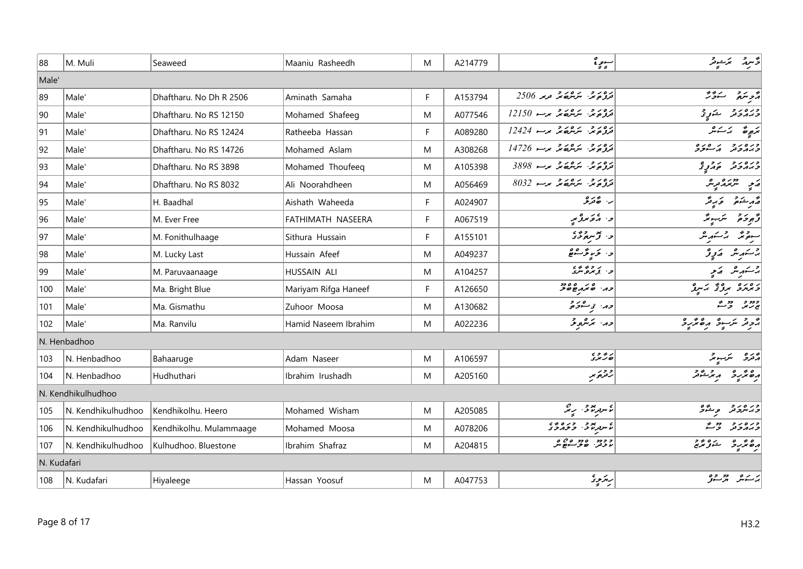| 88           | M. Muli            | Seaweed                 | Maaniu Rasheedh      | M | A214779 | سوءٍ ۽                                  | دُّسِرةٌ   مَرَسُوتَر                            |
|--------------|--------------------|-------------------------|----------------------|---|---------|-----------------------------------------|--------------------------------------------------|
| Male'        |                    |                         |                      |   |         |                                         |                                                  |
| 89           | Male'              | Dhaftharu. No Dh R 2506 | Aminath Samaha       | F | A153794 | تروكوس سكر محمد ترس 2506                | أأروبتهم سنروع                                   |
| $ 90\rangle$ | Male'              | Dhaftharu. No RS 12150  | Mohamed Shafeeg      | M | A077546 | ىرە بەش. سەن ھەكرىسە 12150              | ورەر دېم ئىكتى تو                                |
| 91           | Male'              | Dhaftharu. No RS 12424  | Ratheeba Hassan      | F | A089280 | رەر بەر ئىر ھەتمە بىر سە 12424          | بموق بمسكس                                       |
| 92           | Male'              | Dhaftharu. No RS 14726  | Mohamed Aslam        | M | A308268 | رەرى ئىر ئىر ھەتە بىر سىر 14726         | ورەرو پر 200                                     |
| 93           | Male'              | Dhaftharu. No RS 3898   | Mohamed Thoufeeq     | M | A105398 | ىرە بەت سەھقەتمە بىر سە 3898            | כנסני ניק                                        |
| 94           | Male'              | Dhaftharu. No RS 8032   | Ali Noorahdheen      | M | A056469 | تروم تى. سەھەت بىر سىسى 8032            | د د دره د م                                      |
| 95           | Male'              | H. Baadhal              | Aishath Waheeda      | F | A024907 | ر . ځ تر و                              | وكرشكو وبرقر                                     |
| 96           | Male'              | M. Ever Free            | FATHIMATH NASEERA    | F | A067519 | و· مۇمۇمۇم                              | توجدة الكرسوند                                   |
| 97           | Male'              | M. Fonithulhaage        | Sithura Hussain      | F | A155101 | د . تر سره نړۍ<br>د                     | سوە ئۆسكىدىش                                     |
| 98           | Male'              | M. Lucky Last           | Hussain Afeef        | M | A049237 | <sub>ى</sub> ئۇرۇشق                     | جاسكىرىكى كەبولۇ                                 |
| 99           | Male'              | M. Paruvaanaage         | HUSSAIN ALI          | M | A104257 | ر و د و و.<br>د ۰ بومرو شرد             | جسكهر شريحية                                     |
| 100          | Male'              | Ma. Bright Blue         | Mariyam Rifga Haneef | F | A126650 | בני פיתח פפי                            | دەرە بروژ ئېرو                                   |
| 101          | Male'              | Ma. Gismathu            | Zuhoor Moosa         | M | A130682 | أورستي سفرة والمحمدة                    | ودو ودع                                          |
| 102          | Male'              | Ma. Ranvilu             | Hamid Naseem Ibrahim | M | A022236 | دە ئەشھەق                               | جود سرباد مقترره                                 |
|              | N. Henbadhoo       |                         |                      |   |         |                                         |                                                  |
| 103          | N. Henbadhoo       | Bahaaruge               | Adam Naseer          | M | A106597 | ر بر و ،<br>ن <i>ن</i> تر د             |                                                  |
| 104          | N. Henbadhoo       | Hudhuthari              | Ibrahim Irushadh     | M | A205160 | و ور<br> رفره مړ                        | و در سرب در<br>دوری سرب در<br>ده تر ده در در دور |
|              | N. Kendhikulhudhoo |                         |                      |   |         |                                         |                                                  |
| 105          | N. Kendhikulhudhoo | Kendhikolhu. Heero      | Mohamed Wisham       | M | A205085 | ءَ سعرت پن - ڀنگه                       | وبرەرو پەشكى                                     |
| 106          | N. Kendhikulhudhoo | Kendhikolhu. Mulammaage | Mohamed Moosa        | M | A078206 | ء سعرت و ده و ه<br> لاسهرت و محمد و د   | وره دو دور                                       |
| 107          | N. Kendhikulhudhoo | Kulhudhoo. Bluestone    | Ibrahim Shafraz      | M | A204815 | و ووو او ووړه <i>وې</i><br>مړين کلي کلي | ړەپر پەندى                                       |
| N. Kudafari  |                    |                         |                      |   |         |                                         |                                                  |
| 108          | N. Kudafari        | Hiyaleege               | Hassan Yoosuf        | M | A047753 | رېږې د <sup>ه</sup>                     | برسەش بۇ يەدە                                    |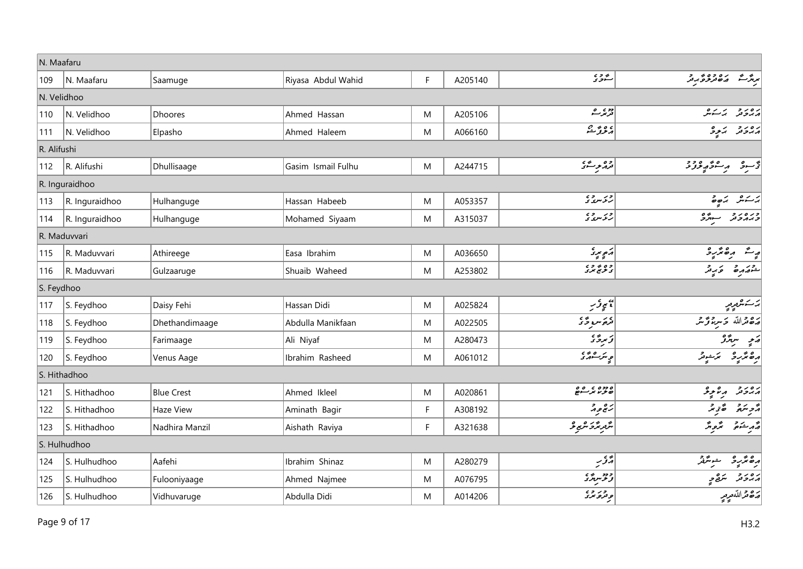| N. Maafaru  |                |                   |                    |           |         |                                            |                                                                          |
|-------------|----------------|-------------------|--------------------|-----------|---------|--------------------------------------------|--------------------------------------------------------------------------|
| 109         | N. Maafaru     | Saamuge           | Riyasa Abdul Wahid | F         | A205140 | ر د د د ک                                  | بر پڑے دہ دہ دیاتھ<br>بربر کے در صافر فرقر پر فر                         |
|             | N. Velidhoo    |                   |                    |           |         |                                            |                                                                          |
| 110         | N. Velidhoo    | <b>Dhoores</b>    | Ahmed Hassan       | ${\sf M}$ | A205106 | ود ۽ ه<br>تريمر ڪ                          | رەرد پرىكە                                                               |
| 111         | N. Velidhoo    | Elpasho           | Ahmed Haleem       | M         | A066160 | ، و ژَ شَ                                  | رەرو روو                                                                 |
| R. Alifushi |                |                   |                    |           |         |                                            |                                                                          |
| 112         | R. Alifushi    | Dhullisaage       | Gasim Ismail Fulhu | M         | A244715 | وه وريح                                    | المج سره معرض معروبي.<br>المح سر معرض معروبي.                            |
|             | R. Inguraidhoo |                   |                    |           |         |                                            |                                                                          |
| 113         | R. Inguraidhoo | Hulhanguge        | Hassan Habeeb      | ${\sf M}$ | A053357 | و ر رو د<br>رنگ سرند و                     | $\begin{vmatrix} 2 & 2 & 3 \ 2 & 2 & 3 \end{vmatrix}$                    |
| 114         | R. Inguraidhoo | Hulhanguge        | Mohamed Siyaam     | M         | A315037 | و ر رو ء<br>رن سرت ی                       | כמחכת התכ                                                                |
|             | R. Maduvvari   |                   |                    |           |         |                                            |                                                                          |
| 115         | R. Maduvvari   | Athireege         | Easa Ibrahim       | ${\sf M}$ | A036650 | ړه پېږي                                    | په مقبره                                                                 |
| 116         | R. Maduvvari   | Gulzaaruge        | Shuaib Waheed      | M         | A253802 | و ه پر و ›<br>د نومځ مرد                   | شور و در و                                                               |
| S. Feydhoo  |                |                   |                    |           |         |                                            |                                                                          |
| 117         | S. Feydhoo     | Daisy Fehi        | Hassan Didi        | M         | A025824 | ۽ سمج قر <sup>س</sup> ر                    | ئەسەئىر بىر<br>مەسىم ئ <sup>ى</sup> ر                                    |
| 118         | S. Feydhoo     | Dhethandimaage    | Abdulla Manikfaan  | M         | A022505 | ې ئەرگەرىدى<br>قىرقۇسىغ قرى                | ره درالله ځرمړيو ته.<br>ره مرالله ځرمړيو تو مر                           |
| 119         | S. Feydhoo     | Farimaage         | Ali Niyaf          | M         | A280473 | ر<br>توسير پر ي                            |                                                                          |
| 120         | S. Feydhoo     | Venus Aage        | Ibrahim Rasheed    | M         | A061012 | ءِ سَرَ صَمَرٌ يَ                          | رەپرىر بر                                                                |
|             | S. Hithadhoo   |                   |                    |           |         |                                            |                                                                          |
| 121         | S. Hithadhoo   | <b>Blue Crest</b> | Ahmed Ikleel       | ${\sf M}$ | A020861 | ە دە ە » دە ە                              |                                                                          |
| 122         | S. Hithadhoo   | <b>Haze View</b>  | Aminath Bagir      | F         | A308192 | ر چ عبر ج                                  |                                                                          |
| 123         | S. Hithadhoo   | Nadhira Manzil    | Aishath Raviya     | F         | A321638 | م <sup>ې</sup> رىر ئەرەپ ئو                | پ <sup>ر</sup> در شوځ                                                    |
|             | S. Hulhudhoo   |                   |                    |           |         |                                            |                                                                          |
| 124         | S. Hulhudhoo   | Aafehi            | Ibrahim Shinaz     | M         | A280279 | پژویر                                      |                                                                          |
| 125         | S. Hulhudhoo   | Fulooniyaage      | Ahmed Najmee       | M         | A076795 | د در په په<br>ز تر سرگر <sub>ۍ</sub>       | <i>۵ می رو شوره در می</i><br>بر <i>۲۳ می رو در می</i><br>بر ۲٫۶ می می می |
| 126         | S. Hulhudhoo   | Vidhuvaruge       | Abdulla Didi       | M         | A014206 | و ر و ء<br>ح <sub>ي</sub> مر <i>و بو</i> ر | برة قراللّه مرمر                                                         |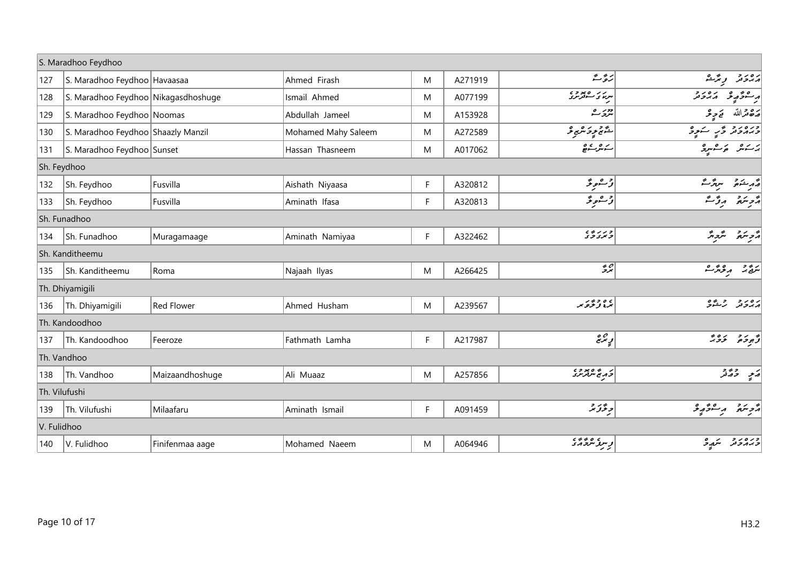|             | S. Maradhoo Feydhoo                 |                   |                     |    |         |                                           |                                              |
|-------------|-------------------------------------|-------------------|---------------------|----|---------|-------------------------------------------|----------------------------------------------|
| 127         | S. Maradhoo Feydhoo Havaasaa        |                   | Ahmed Firash        | M  | A271919 | تەڭ شە                                    | أبرور ويرتقه                                 |
| 128         | S. Maradhoo Feydhoo Nikagasdhoshuge |                   | Ismail Ahmed        | M  | A077199 | ر ر ر ه پو و ء<br>سربا ی سستمبرسری        | وستوصف ومتحفر                                |
| 129         | S. Maradhoo Feydhoo Noomas          |                   | Abdullah Jameel     | M  | A153928 | پرىر مە                                   | أَصَّاهُ فَتَحْوِمُوا اللَّهُ فَتَحْوِمُوا ا |
| 130         | S. Maradhoo Feydhoo Shaazly Manzil  |                   | Mohamed Mahy Saleem | M  | A272589 | ڪو <i>پر چو</i> چر چو چو                  | ورەرو ۋې سەرو                                |
| 131         | S. Maradhoo Feydhoo Sunset          |                   | Hassan Thasneem     | M  | A017062 | <u>ے مرے م</u>                            | برسكش مؤسسور                                 |
|             | Sh. Feydhoo                         |                   |                     |    |         |                                           |                                              |
| 132         | Sh. Feydhoo                         | Fusvilla          | Aishath Niyaasa     | F  | A320812 | ۇ شورۇ                                    | لمجمر مشتعو<br>سرومحثه                       |
| 133         | Sh. Feydhoo                         | Fusvilla          | Aminath Ifasa       | F  | A320813 | ۇ شەرىچ                                   | ړې په پوځ ش                                  |
|             | Sh. Funadhoo                        |                   |                     |    |         |                                           |                                              |
| 134         | Sh. Funadhoo                        | Muragamaage       | Aminath Namiyaa     | F. | A322462 | و ر ر بر د<br>مربو تر پ                   | ە ئەجە ئىدى<br>سرَّد پر                      |
|             | Sh. Kanditheemu                     |                   |                     |    |         |                                           |                                              |
| 135         | Sh. Kanditheemu                     | Roma              | Najaah Ilyas        | M  | A266425 | جرجح                                      | ەر بۇرگە<br>ىر بەر<br>سرچ بر                 |
|             | Th. Dhiyamigili                     |                   |                     |    |         |                                           |                                              |
| 136         | Th. Dhiyamigili                     | <b>Red Flower</b> | Ahmed Husham        | M  | A239567 | ، ە د دىر<br>بر، ۇ ۋە بر                  | پر 2 پر 3<br>حرشة <i>و</i>                   |
|             | Th. Kandoodhoo                      |                   |                     |    |         |                                           |                                              |
| 137         | Th. Kandoodhoo                      | Feeroze           | Fathmath Lamha      | F. | A217987 | ويمرج                                     | ىزە بۇ<br>وٌ جو تر ح                         |
|             | Th. Vandhoo                         |                   |                     |    |         |                                           |                                              |
| 138         | Th. Vandhoo                         | Maizaandhoshuge   | Ali Muaaz           | M  | A257856 | ر په ويو و ،<br>ترم پې سربر ر             | ړَ په د د پر                                 |
|             | Th. Vilufushi                       |                   |                     |    |         |                                           |                                              |
| 139         | Th. Vilufushi                       | Milaafaru         | Aminath Ismail      | F. | A091459 | ىر <i>ئۇ</i> ئەتر                         | ىر سەئۇر بو<br>ړڻ سره                        |
| V. Fulidhoo |                                     |                   |                     |    |         |                                           |                                              |
| 140         | V. Fulidhoo                         | Finifenmaa aage   | Mohamed Naeem       | M  | A064946 | و سو شونه د ،<br>و سو شر <del>د</del> د د | ورەرو شەۋ                                    |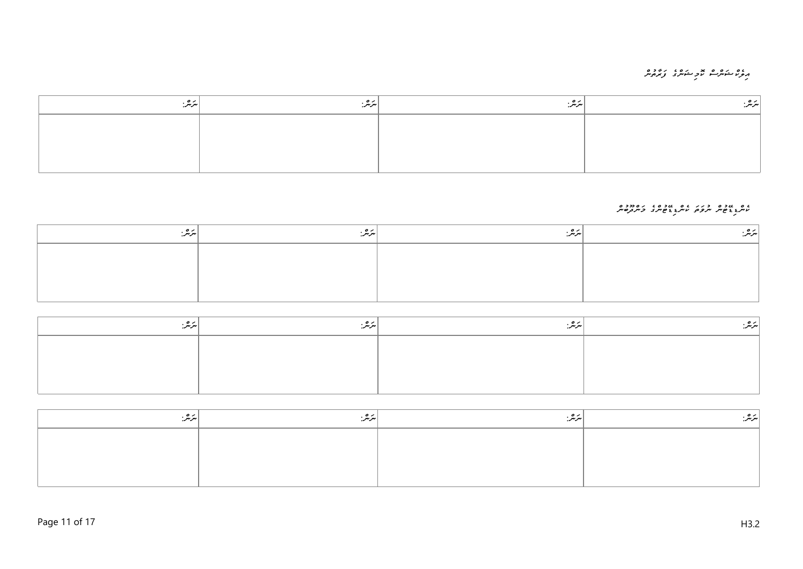## *w7qAn8m? sCw7mRo>u; wEw7mRw;sBo<*

| ' مرمر | 'يئرىثر: |
|--------|----------|
|        |          |
|        |          |
|        |          |

## *w7q9r@w7m> sCw7qHtFoFw7s; mAm=q7 w7qHtFoFw7s;*

| يئرمىش: | $^{\circ}$<br>. سر سر<br>$\cdot$ | $\circ$ $\sim$<br>-- | يئرمثر |
|---------|----------------------------------|----------------------|--------|
|         |                                  |                      |        |
|         |                                  |                      |        |
|         |                                  |                      |        |

| $\frac{2}{n}$ | $\overline{\phantom{a}}$ | اير هنه. | $\mathcal{O} \times$<br>سرسر |
|---------------|--------------------------|----------|------------------------------|
|               |                          |          |                              |
|               |                          |          |                              |
|               |                          |          |                              |

| ىرتىر: | 。<br>سر سر | .,<br>مرسر |
|--------|------------|------------|
|        |            |            |
|        |            |            |
|        |            |            |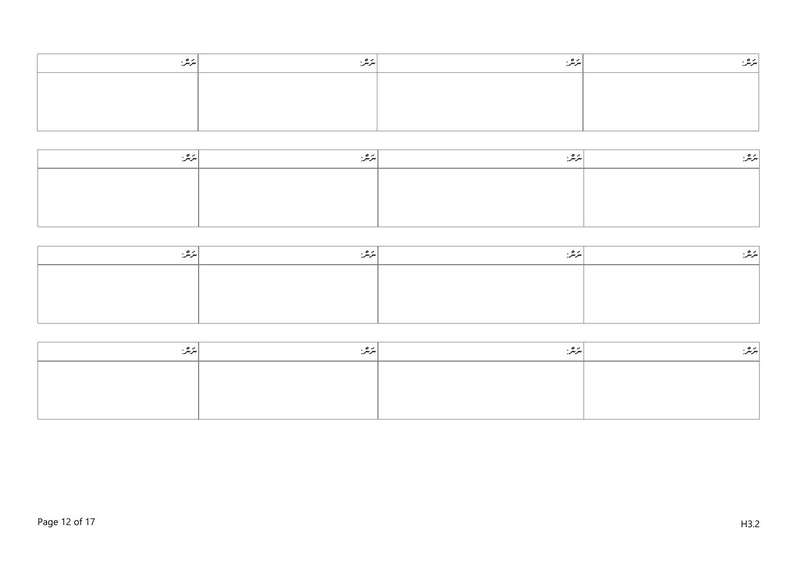| يره. | ο. | ا ير ه |  |
|------|----|--------|--|
|      |    |        |  |
|      |    |        |  |
|      |    |        |  |

| متريثر به | 。<br>'سرسر'۔ | يتزيترا | سرسر |
|-----------|--------------|---------|------|
|           |              |         |      |
|           |              |         |      |
|           |              |         |      |

| ىئرىتر. | $\sim$ | ا بر هه. | لىرىش |
|---------|--------|----------|-------|
|         |        |          |       |
|         |        |          |       |
|         |        |          |       |

| 。<br>مرس. | $\overline{\phantom{a}}$<br>مر سر | يتريثر |
|-----------|-----------------------------------|--------|
|           |                                   |        |
|           |                                   |        |
|           |                                   |        |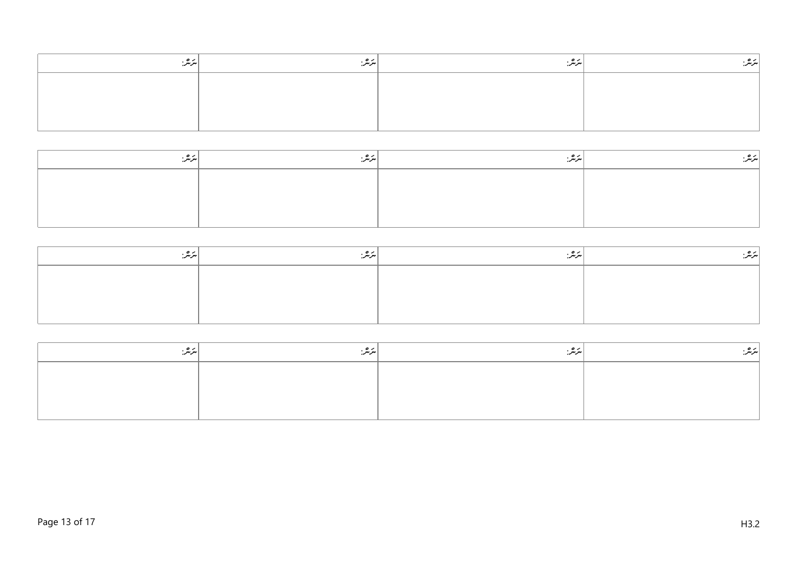| ير هو . | $\overline{\phantom{a}}$ | يرمر | اير هنه. |
|---------|--------------------------|------|----------|
|         |                          |      |          |
|         |                          |      |          |
|         |                          |      |          |

| ىر تىر: | $\circ$ $\sim$<br>" سرسر . | يبرحه | o . |
|---------|----------------------------|-------|-----|
|         |                            |       |     |
|         |                            |       |     |
|         |                            |       |     |

| ابترىثر: | $\sim$<br>. . |  |
|----------|---------------|--|
|          |               |  |
|          |               |  |
|          |               |  |

|  | . ه |
|--|-----|
|  |     |
|  |     |
|  |     |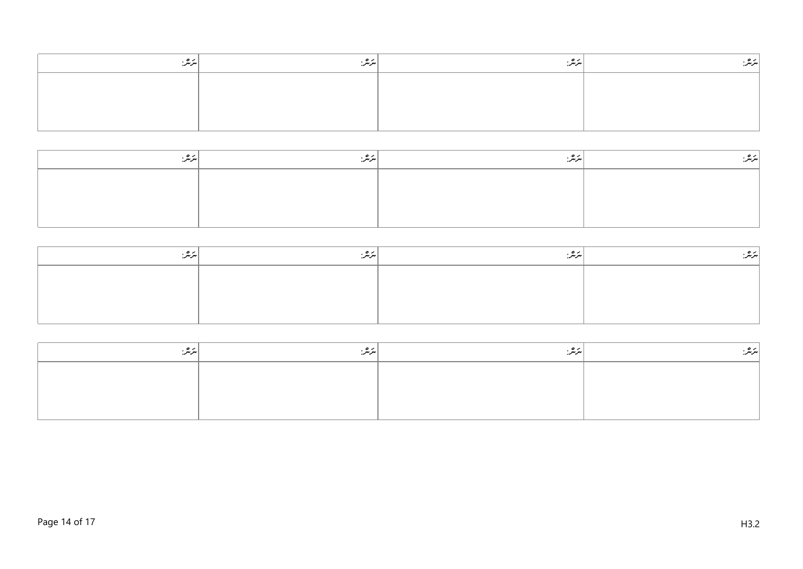| ير هو . | $\overline{\phantom{a}}$ | يرمر | اير هنه. |
|---------|--------------------------|------|----------|
|         |                          |      |          |
|         |                          |      |          |
|         |                          |      |          |

| ىبرىر. | $\sim$<br>ا سرسر . | يئرمثر | o . |
|--------|--------------------|--------|-----|
|        |                    |        |     |
|        |                    |        |     |
|        |                    |        |     |

| الترنثر: | ' مرتكز: | الترنثر: | .,<br>سرسر. |
|----------|----------|----------|-------------|
|          |          |          |             |
|          |          |          |             |
|          |          |          |             |

|  | . ه |
|--|-----|
|  |     |
|  |     |
|  |     |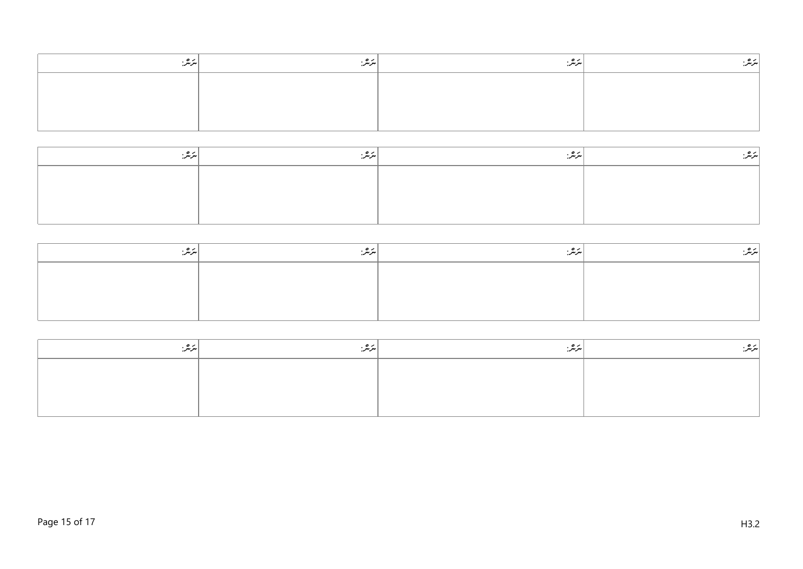| $\cdot$ | ο. | $\frac{\circ}{\cdot}$ | $\sim$<br>سرسر |
|---------|----|-----------------------|----------------|
|         |    |                       |                |
|         |    |                       |                |
|         |    |                       |                |

| ايرعر: | ر ه<br>. . |  |
|--------|------------|--|
|        |            |  |
|        |            |  |
|        |            |  |

| بر ه | 。 | $\sim$<br>َ سومس. |  |
|------|---|-------------------|--|
|      |   |                   |  |
|      |   |                   |  |
|      |   |                   |  |

| 。<br>. س | ىرىىر |  |
|----------|-------|--|
|          |       |  |
|          |       |  |
|          |       |  |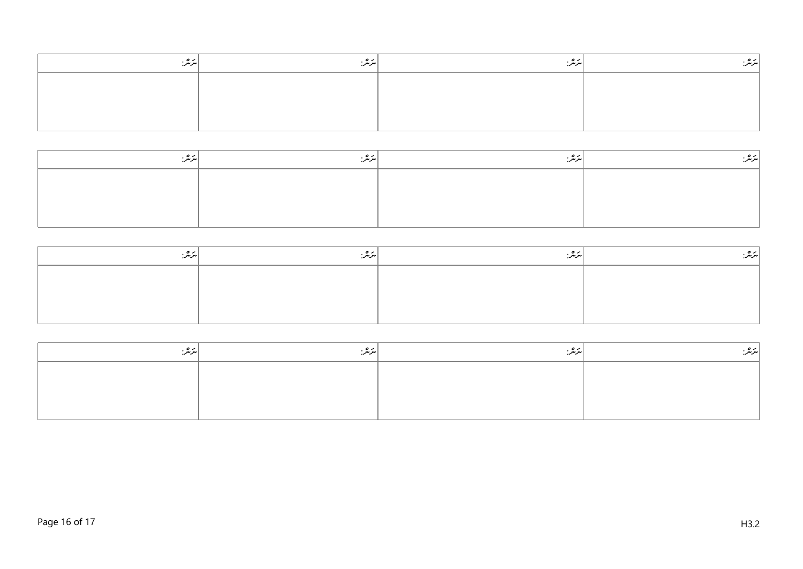| ير هو . | $\overline{\phantom{a}}$ | يرمر | اير هنه. |
|---------|--------------------------|------|----------|
|         |                          |      |          |
|         |                          |      |          |
|         |                          |      |          |

| ىر تىر: | $\circ$ $\sim$<br>" سرسر . | يبرحه | o . |
|---------|----------------------------|-------|-----|
|         |                            |       |     |
|         |                            |       |     |
|         |                            |       |     |

| انترنثر: | ر ه |  |
|----------|-----|--|
|          |     |  |
|          |     |  |
|          |     |  |

|  | . ه |
|--|-----|
|  |     |
|  |     |
|  |     |